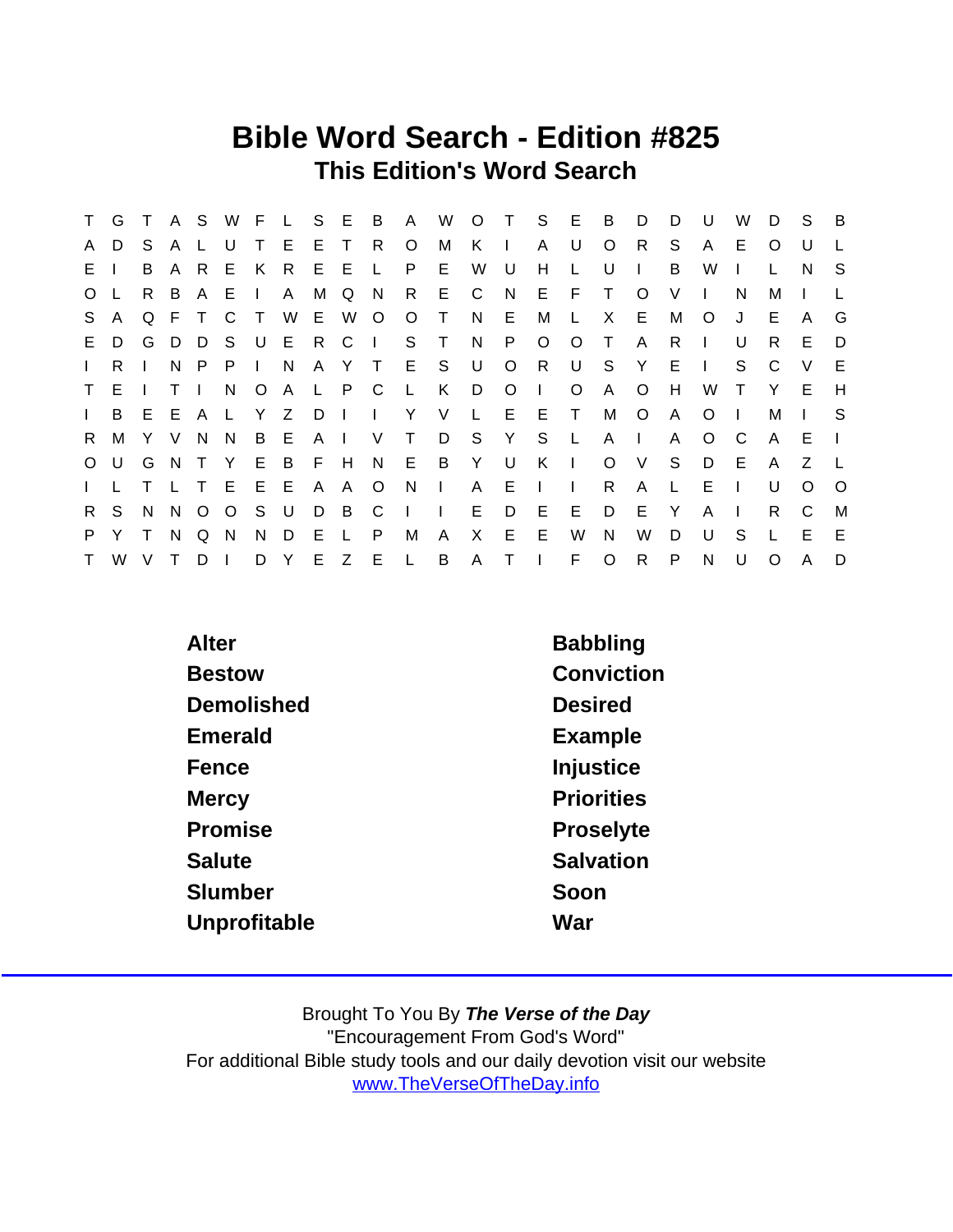### Bible Word Search - Edition #825 This Edition's Word Search

| $\mathsf{T}$   | G            | $\top$ |              |         |             |        |              |     | A S W F L S E B |              | $\mathsf{A}$ | W                       |              |              | O T S E      |              | B            | D            | D            | $\cup$         | W            | D            | <sub>S</sub> | B        |
|----------------|--------------|--------|--------------|---------|-------------|--------|--------------|-----|-----------------|--------------|--------------|-------------------------|--------------|--------------|--------------|--------------|--------------|--------------|--------------|----------------|--------------|--------------|--------------|----------|
| A              | D            | S.     | A            |         | U           | T.     | E            | E T |                 | R            | $\circ$      | М                       | K.           | $\mathbf{I}$ | $\mathsf{A}$ | U            | $\circ$      | R.           | S.           | A              | E.           | $\Omega$     | U            |          |
| E              |              | B      | A            | R.      | E.          | K      | - R          | E E |                 | $\mathsf{L}$ | P.           | E                       | W            | U            | H            | L.           | U            | $\mathbf{I}$ | B            | W              |              |              | N.           | -S       |
| O <sub>L</sub> |              | R B    |              |         | AEI         |        | $\mathsf{A}$ | M   | Q               | - N          | $\mathsf{R}$ | - E -                   | $\mathsf{C}$ |              | N E F        |              | $\top$       | $\circ$      | V            | Ι.             | N            | м            |              |          |
| S.             | $\mathsf{A}$ |        |              | Q F T C |             | $\top$ | W E W        |     |                 | $\circ$      | $\circ$      | $\top$                  | N            | E.           | М            | $\mathsf{L}$ | X            | E            | M            | $\circ$        | J            | E            | A            | G        |
|                | E D          |        | G D          |         | D S U E R   |        |              |     | $\mathbf{C}$    | $\mathbf{L}$ |              | S T                     | N            | P            | $\circ$      | $\circ$      | $\top$       | A            | R            |                | U            | R.           | E.           | D        |
| $\mathbf{L}$   | R.           |        | N            |         | $P$ $P$ $I$ |        | N            |     |                 |              | A Y T E S    |                         | U            | $\circ$      | R            | U            | S.           | Y            | E.           | $\blacksquare$ | S.           | C            | V            | E        |
|                | T E I        |        | $\top$       |         |             | N O A  |              |     | L P C           |              | <b>L</b>     | K .                     | D            | $\circ$      | $\Box$       | $\circ$      | A            | $\circ$      | H            | W              | $\top$       | Y            | E.           | H        |
| $\mathbf{L}$   | B            |        |              |         | E E A L Y Z |        |              |     |                 |              | DII Y V      |                         | $\mathbb{L}$ | $E$ $E$      |              | $\top$       | М            | $\circ$      | $\mathsf{A}$ | $\Omega$       | $\perp$      | м            |              | S.       |
| R.             | M            |        | Y V          | N.      | N           | B E    |              |     | A I V           |              | $\top$       | D                       | S Y S        |              |              | $\mathsf{L}$ | $\mathsf{A}$ | $\Box$       | A            | $\Omega$       | - C          | $\mathsf{A}$ | E            |          |
|                | $O$ U        |        |              |         |             |        |              |     |                 |              |              | G N T Y E B F H N E B Y |              | . U          | K I          |              | $\circ$      | V            | S            | D              | -E           | $\mathsf{A}$ | Z            |          |
| $\mathbf{L}$   |              |        | $\mathsf{L}$ |         | TEEE        |        |              | A   | - A             | $\circ$      | N.           | $\mathbf{L}$            | $\mathsf{A}$ | E            | $\mathbf{L}$ | $\Box$       | R            | A            | L            | Е              | $\mathbf{L}$ | U            | $\Omega$     | $\Omega$ |
| $\mathsf{R}$   | S.           | N      | $\mathsf{N}$ |         | $0\quad 0$  | S U    |              | D.  | $\overline{B}$  | $\mathsf{C}$ | $\mathbf{I}$ | $\sim 1$ .              | E            | D E          |              | E            | D            | E            | Y            | A              | $\mathbb{R}$ | R.           | C            | M        |
| P.             | Y            | $\top$ | N            | Q       | N.          | N      | D            | E   | $\mathbf{L}$    | P            | М            | A                       | X.           | E            | E            | W            | N            | W            | D            | U              | S            |              | E            | E        |
| T              | W            | $\vee$ | T.           | D       | $\Box$      |        | D Y          |     | E Z E           |              | $\mathsf{L}$ | B                       |              | $A$ T I      |              | F.           | $\circ$      | $\mathsf{R}$ | P.           | N              | U            | $\Omega$     | A            | D        |

| Alter         | <b>Babbling</b>   |
|---------------|-------------------|
| <b>Bestow</b> | Conviction        |
| Demolished    | <b>Desired</b>    |
| Emerald       | Example           |
| Fence         | Injustice         |
| Mercy         | <b>Priorities</b> |
| Promise       | Proselyte         |
| Salute        | Salvation         |
| Slumber       | Soon              |
| Unprofitable  | War               |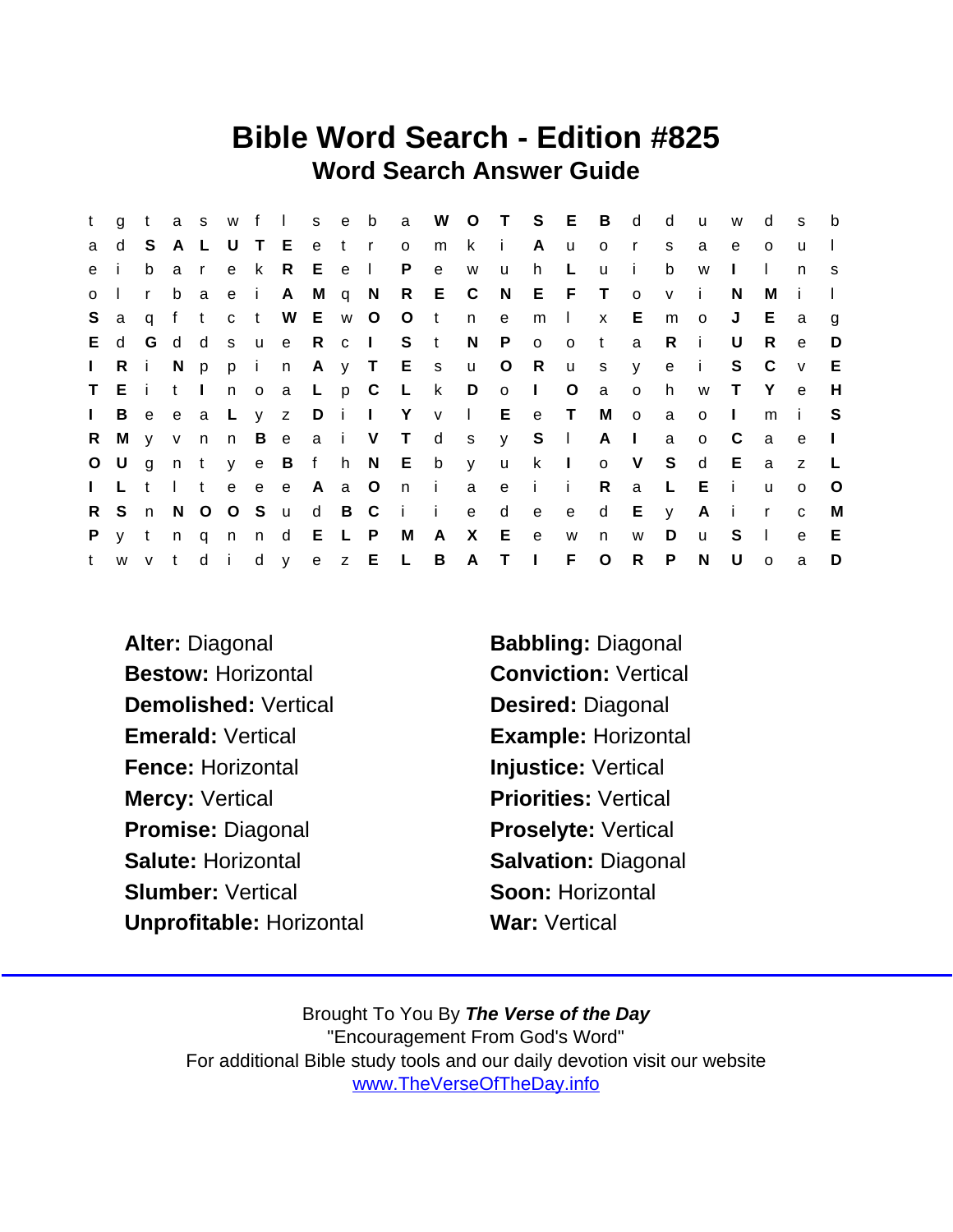### Bible Word Search - Edition #825 Word Search Answer Guide

| t.           | $\mathsf{q}$ | $-t$  |          |              |             |     |                 |       |       |                           | as w f I s e b a W O T S E B d     |     |              |                           |         |                |                         | d              | <b>u</b>       | W            | d            | <b>S</b>     | b       |
|--------------|--------------|-------|----------|--------------|-------------|-----|-----------------|-------|-------|---------------------------|------------------------------------|-----|--------------|---------------------------|---------|----------------|-------------------------|----------------|----------------|--------------|--------------|--------------|---------|
| a            | d            |       |          |              |             |     | S A L U T E     | e t r |       | $\overline{O}$            | m                                  | k i |              | A u                       |         | $\circ$        | $\mathsf{r}$            | <sub>S</sub>   | a              | e            | $\Omega$     | $\mathbf{u}$ |         |
| e            |              | b     | a        | $\mathsf{r}$ |             | e k | R.              | E e I |       | P                         | $\mathbf{e}$                       | W   | u            | $h$ L                     |         | u              | -i -                    | b              | W              | $\mathbf{L}$ | $\mathbf{L}$ | n            | S.      |
| $0-1$        |              | r     | b        |              |             |     |                 |       |       |                           | a e i A M q N R E C                |     |              | N E F T                   |         |                | $\overline{O}$          | V              | $\mathbf{i}$   | N.           | М            |              |         |
| S.           | a            |       | q f t    |              |             |     |                 |       |       |                           | c t W E w O O t n e                |     |              | $m$                       |         | $\mathbf{x}$   | E.                      | m              | $\overline{O}$ | J            | E.           | a            | g       |
| E.           | d            |       |          |              |             |     |                 |       |       | G d d s u e R c I S t     |                                    | N   | $\mathsf{P}$ |                           | o o t   |                | a                       | $R$ i          |                | U            | R.           | $\mathbf{e}$ | D       |
| $\mathbf{L}$ | Ri           |       | N.       |              |             |     |                 |       |       |                           | ppin A y T E s u O R               |     |              |                           |         | u s            | y -                     | e i            |                | S            | - C          | V            | E       |
|              | TEITI        |       |          |              |             |     |                 |       |       |                           | n o a L p C L k D o I              |     |              |                           | $\circ$ | $\overline{a}$ | $\overline{\mathsf{O}}$ | h              | W              | $\top$       | Y            | e e          | H       |
| $\mathbf{L}$ | B            |       |          |              |             |     |                 |       |       |                           | e e a L y z D i I Y v I E e T      |     |              |                           |         | M              | $\overline{O}$          | a              | $\circ$        | $\Box$       | m            | - i -        | -S      |
| $R_{\perp}$  |              |       |          |              |             |     |                 |       |       |                           | My v n n B e a i V T d s y S I A I |     |              |                           |         |                |                         | a              | $\circ$        | $\mathbf{C}$ | a            | e            | $\Box$  |
|              | $O$ U        | g n t |          |              |             |     |                 |       |       |                           | y e B f h N E b y u k I            |     |              |                           |         | o V S          |                         |                | d              | E            | a            | z            | - L.    |
|              | I L t        |       | $\sim 1$ |              |             |     | t e e e         | A a O |       |                           | n i a                              |     | e            | $\mathbf{i}$ $\mathbf{i}$ |         | $\mathsf{R}$   | a                       | $\mathbb{L}^+$ | Ei             |              | <b>u</b>     | $\Omega$     | $\circ$ |
| R.           | S.           | n N   |          |              | $O$ $O$ $S$ |     | $\mathsf{u}$    |       | d B C | $\mathbf{i}$ $\mathbf{i}$ |                                    | e   | d            | e                         |         | e d            |                         | E y            |                | Air          |              | $\mathbf{C}$ | M       |
| P.           | y t          |       |          |              |             |     | n q n n d E L P |       |       | M A                       |                                    | X E |              | $-e$                      | W       | n              | W                       | D              | <b>u</b>       | - S          | $\Box$       | $\mathbf{e}$ | E       |
| t            |              | w v t |          |              |             |     |                 |       |       | didyez EL B               |                                    |     | A T I        |                           | F.      | $\overline{O}$ | R.                      | P              | $\mathsf{N}$   | U            | $\Omega$     | a            | D       |

Alter: Diagonal Babbling: Diagonal Bestow: Horizontal **Conviction: Vertical** Demolished: Vertical Desired: Diagonal Emerald: Vertical Example: Horizontal Fence: Horizontal **Injustice:** Vertical Mercy: Vertical **Priorities:** Vertical Promise: Diagonal Proselyte: Vertical Salute: Horizontal Salvation: Diagonal Slumber: Vertical Soon: Horizontal Unprofitable: Horizontal War: Vertical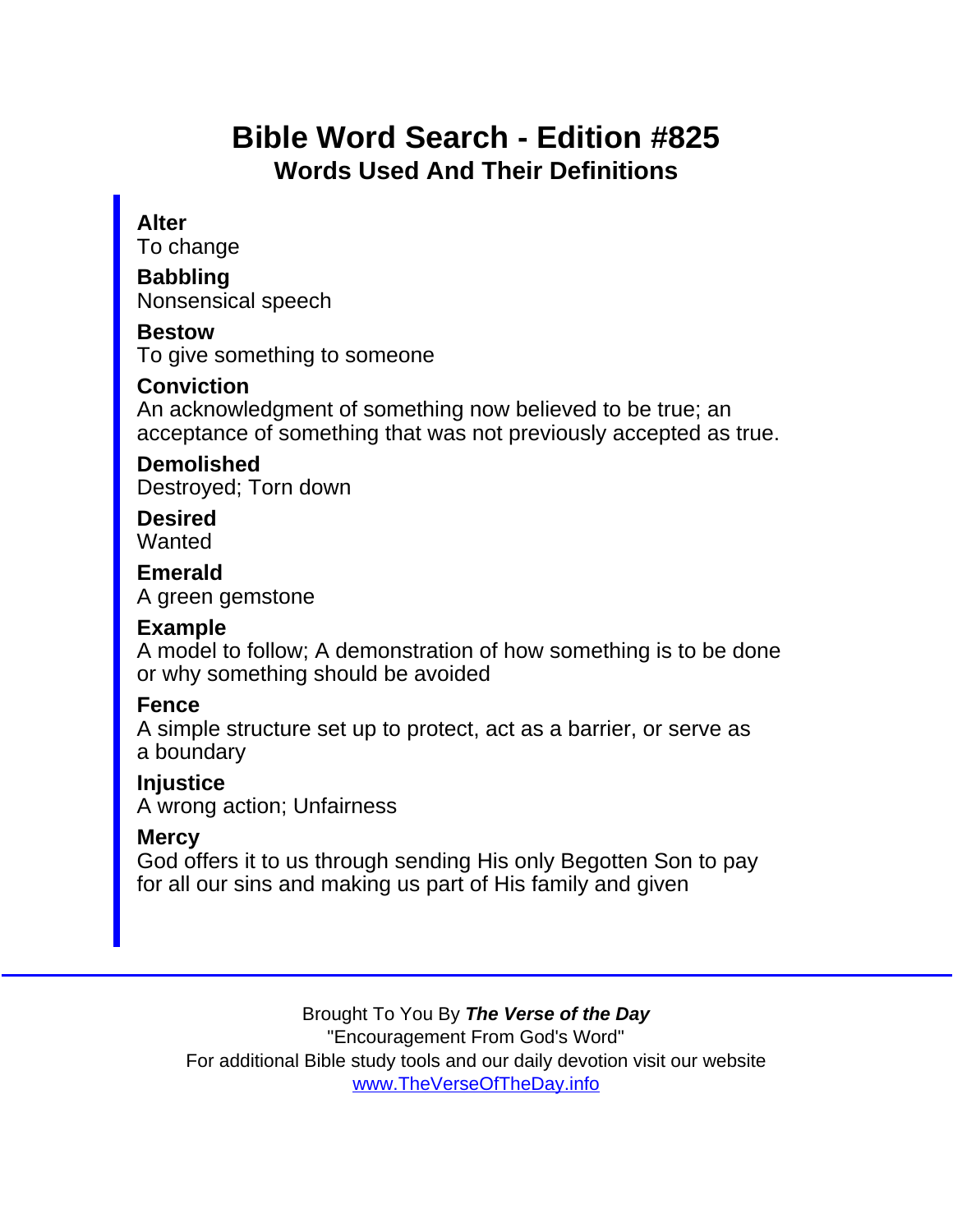# Bible Word Search - Edition #825 Words Used And Their Definitions

Alter

To change

**Babbling** Nonsensical speech

Bestow

To give something to someone

**Conviction** 

An acknowledgment of something now believed to be true; an acceptance of something that was not previously accepted as true.

Demolished Destroyed; Torn down

**Desired Wanted** 

Emerald A green gemstone

Example

A model to follow; A demonstration of how something is to be done or why something should be avoided

Fence

A simple structure set up to protect, act as a barrier, or serve as a boundary

**Injustice** 

A wrong action; Unfairness

**Mercy** 

God offers it to us through sending His only Begotten Son to pay for all our sins and making us part of His family and given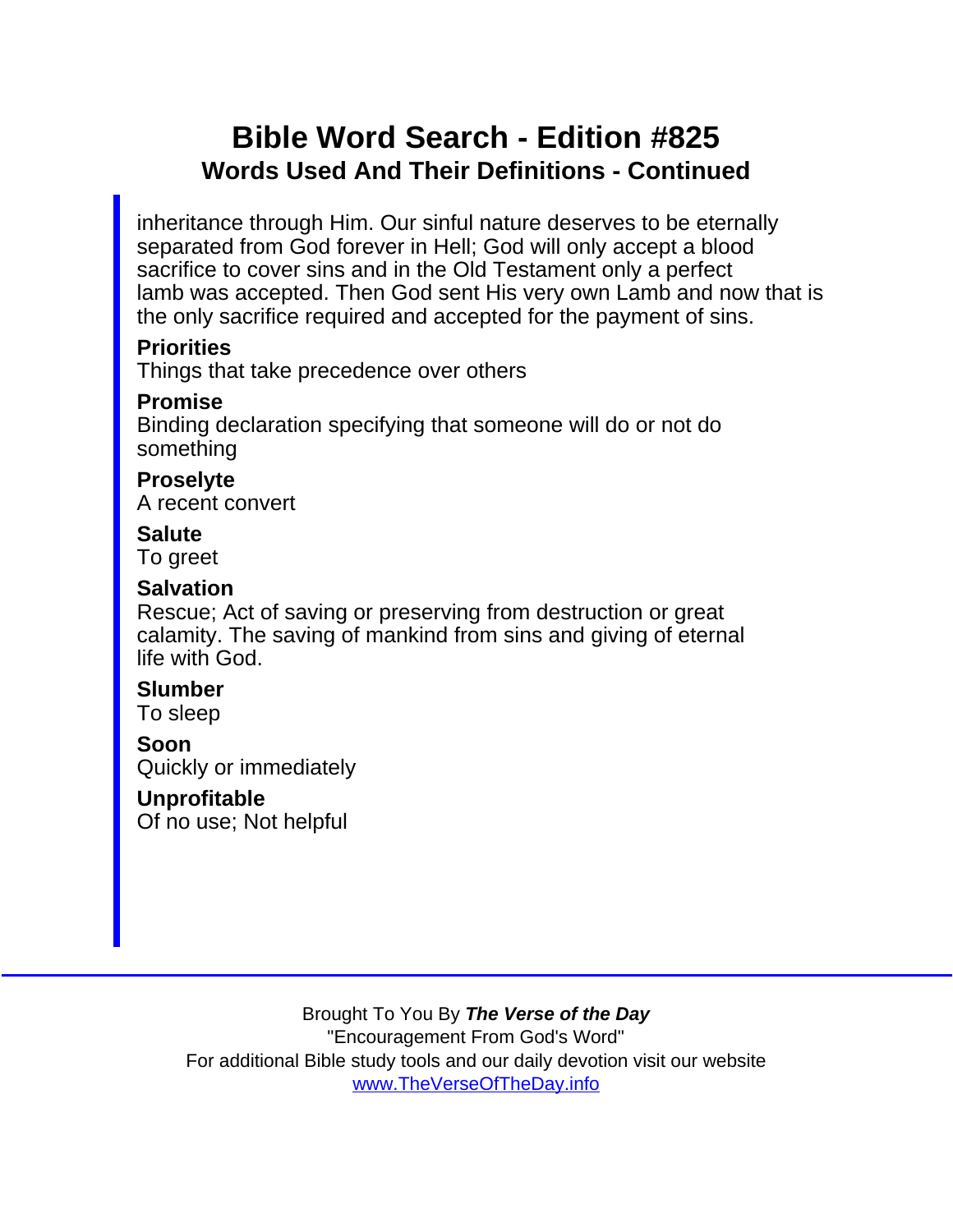### Bible Word Search - Edition #825 Words Used And Their Definitions - Continued

inheritance through Him. Our sinful nature deserves to be eternally separated from God forever in Hell; God will only accept a blood sacrifice to cover sins and in the Old Testament only a perfect lamb was accepted. Then God sent His very own Lamb and now that is the only sacrifice required and accepted for the payment of sins.

**Priorities** 

Things that take precedence over others

Promise

Binding declaration specifying that someone will do or not do something

Proselyte A recent convert

**Salute** To greet

**Salvation** 

Rescue; Act of saving or preserving from destruction or great calamity. The saving of mankind from sins and giving of eternal life with God.

Slumber To sleep

Soon Quickly or immediately

Unprofitable Of no use; Not helpful